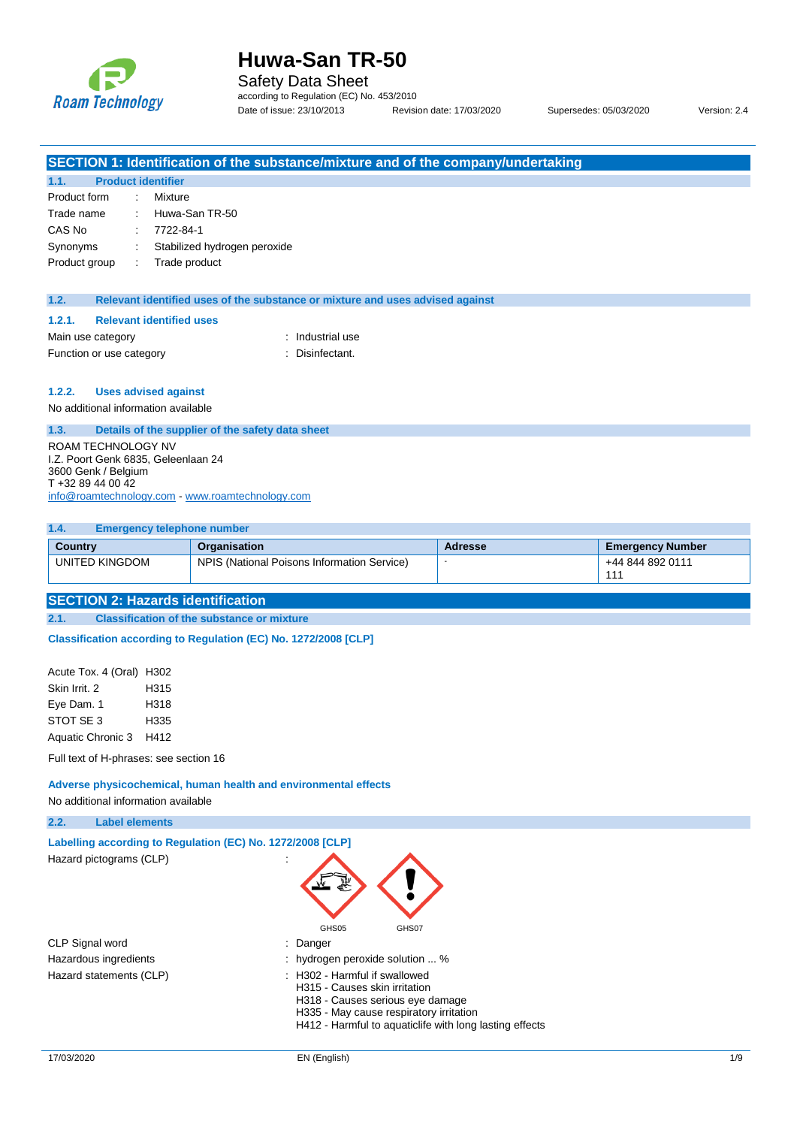

Safety Data Sheet

according to Regulation (EC) No. 453/2010 Date of issue: 23/10/2013 Revision date: 17/03/2020 Supersedes: 05/03/2020 Version: 2.4

|                                          |  | SECTION 1: Identification of the substance/mixture and of the company/undertaking |  |  |
|------------------------------------------|--|-----------------------------------------------------------------------------------|--|--|
| 1.1.                                     |  | <b>Product identifier</b>                                                         |  |  |
| Product form                             |  | Mixture                                                                           |  |  |
| Trade name                               |  | Huwa-San TR-50                                                                    |  |  |
| CAS No                                   |  | 7722-84-1                                                                         |  |  |
| Synonyms                                 |  | Stabilized hydrogen peroxide                                                      |  |  |
| Product group                            |  | Trade product                                                                     |  |  |
|                                          |  |                                                                                   |  |  |
| 1.2.                                     |  | Relevant identified uses of the substance or mixture and uses advised against     |  |  |
| 1.2.1.                                   |  | <b>Relevant identified uses</b>                                                   |  |  |
| Main use category                        |  | : Industrial use                                                                  |  |  |
| Function or use category                 |  | : Disinfectant.                                                                   |  |  |
|                                          |  |                                                                                   |  |  |
| 1.2.2.                                   |  | <b>Uses advised against</b>                                                       |  |  |
| No additional information available      |  |                                                                                   |  |  |
| 1.3.                                     |  |                                                                                   |  |  |
|                                          |  | Details of the supplier of the safety data sheet                                  |  |  |
| <b>ROAM TECHNOLOGY NV</b>                |  |                                                                                   |  |  |
| I.Z. Poort Genk 6835, Geleenlaan 24      |  |                                                                                   |  |  |
| 3600 Genk / Belgium<br>T +32 89 44 00 42 |  |                                                                                   |  |  |

[info@roamtechnology.com](mailto:info@roamtechnology.com) - [www.roamtechnology.com](http://www.roamtechnology.com/)

| 1.4.           | <b>Emergency telephone number</b>           |         |                         |  |  |  |  |
|----------------|---------------------------------------------|---------|-------------------------|--|--|--|--|
| Country        | Organisation                                | Adresse | <b>Emergency Number</b> |  |  |  |  |
| UNITED KINGDOM | NPIS (National Poisons Information Service) |         | +44 844 892 0111<br>111 |  |  |  |  |

## **SECTION 2: Hazards identification**

**2.1. Classification of the substance or mixture**

**Classification according to Regulation (EC) No. 1272/2008 [CLP]** 

Acute Tox. 4 (Oral) H302 Skin Irrit. 2 H315 Eye Dam. 1 H318 STOT SE 3 H335 Aquatic Chronic 3 H412

Full text of H-phrases: see section 16

**Adverse physicochemical, human health and environmental effects** No additional information available

**2.2. Label elements**

| Labelling according to Regulation (EC) No. 1272/2008 [CLP] |                                                                                                                                                                                                                     |
|------------------------------------------------------------|---------------------------------------------------------------------------------------------------------------------------------------------------------------------------------------------------------------------|
| Hazard pictograms (CLP)                                    |                                                                                                                                                                                                                     |
|                                                            | GHS05<br>GHS07                                                                                                                                                                                                      |
| CLP Signal word                                            | $:$ Danger                                                                                                                                                                                                          |
| Hazardous ingredients                                      | : hydrogen peroxide solution  %                                                                                                                                                                                     |
| Hazard statements (CLP)                                    | $\therefore$ H302 - Harmful if swallowed<br>H315 - Causes skin irritation<br>H318 - Causes serious eye damage<br>H335 - May cause respiratory irritation<br>H412 - Harmful to aquaticlife with long lasting effects |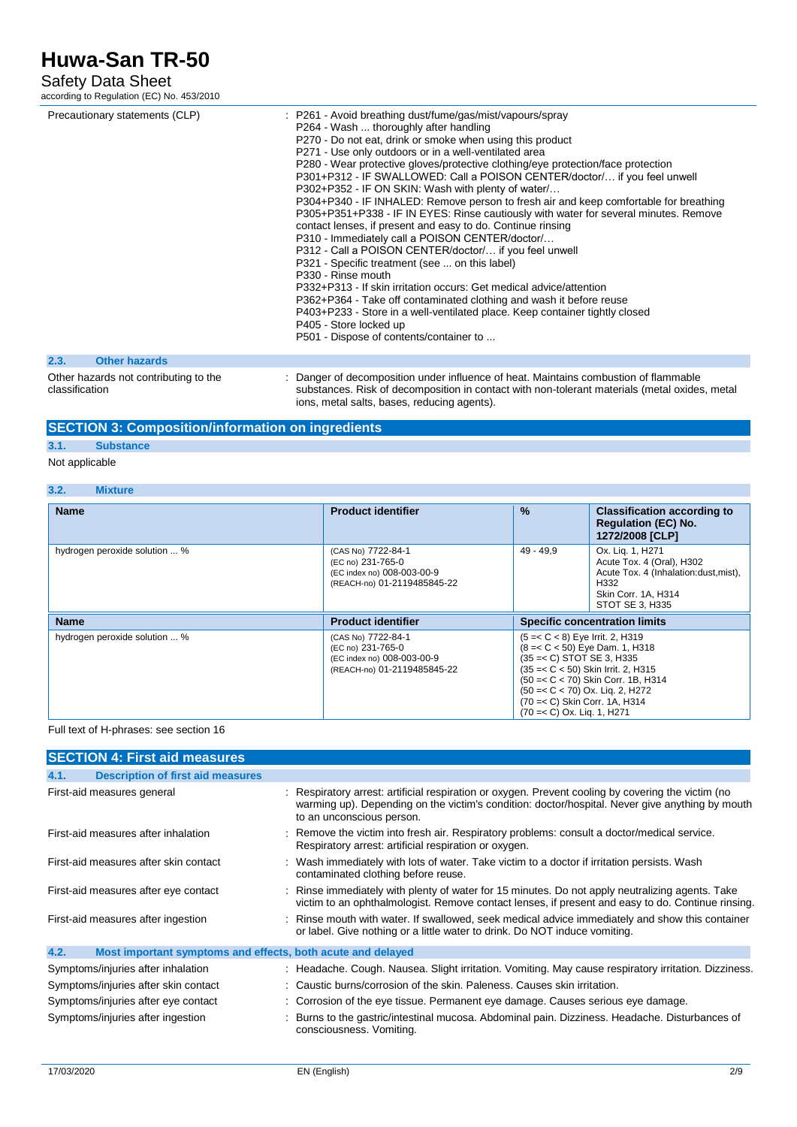## Safety Data Sheet

according to Regulation (EC) No. 453/2010

|      | Precautionary statements (CLP) | : P261 - Avoid breathing dust/fume/gas/mist/vapours/spray<br>P264 - Wash  thoroughly after handling<br>P270 - Do not eat, drink or smoke when using this product<br>P271 - Use only outdoors or in a well-ventilated area<br>P280 - Wear protective gloves/protective clothing/eye protection/face protection<br>P301+P312 - IF SWALLOWED: Call a POISON CENTER/doctor/ if you feel unwell<br>P302+P352 - IF ON SKIN: Wash with plenty of water/<br>P304+P340 - IF INHALED: Remove person to fresh air and keep comfortable for breathing<br>P305+P351+P338 - IF IN EYES: Rinse cautiously with water for several minutes. Remove<br>contact lenses, if present and easy to do. Continue rinsing<br>P310 - Immediately call a POISON CENTER/doctor/<br>P312 - Call a POISON CENTER/doctor/ if you feel unwell<br>P321 - Specific treatment (see  on this label)<br>P330 - Rinse mouth<br>P332+P313 - If skin irritation occurs: Get medical advice/attention<br>P362+P364 - Take off contaminated clothing and wash it before reuse<br>P403+P233 - Store in a well-ventilated place. Keep container tightly closed<br>P405 - Store locked up<br>P501 - Dispose of contents/container to |
|------|--------------------------------|-----------------------------------------------------------------------------------------------------------------------------------------------------------------------------------------------------------------------------------------------------------------------------------------------------------------------------------------------------------------------------------------------------------------------------------------------------------------------------------------------------------------------------------------------------------------------------------------------------------------------------------------------------------------------------------------------------------------------------------------------------------------------------------------------------------------------------------------------------------------------------------------------------------------------------------------------------------------------------------------------------------------------------------------------------------------------------------------------------------------------------------------------------------------------------------------|
| 2.3. | <b>Other hazards</b>           |                                                                                                                                                                                                                                                                                                                                                                                                                                                                                                                                                                                                                                                                                                                                                                                                                                                                                                                                                                                                                                                                                                                                                                                         |

#### Other hazards not contributing to the classification

: Danger of decomposition under influence of heat. Maintains combustion of flammable substances. Risk of decomposition in contact with non-tolerant materials (metal oxides, metal ions, metal salts, bases, reducing agents).

### **SECTION 3: Composition/information on ingredients**

# **3.1. Substance**

## Not applicable

### **3.2. Mixture**

| <b>Name</b>                   | <b>Product identifier</b>                                                                            | $\frac{9}{6}$                                                                                                                                                                                                  | <b>Classification according to</b><br><b>Regulation (EC) No.</b><br>1272/2008 [CLP]                                                       |
|-------------------------------|------------------------------------------------------------------------------------------------------|----------------------------------------------------------------------------------------------------------------------------------------------------------------------------------------------------------------|-------------------------------------------------------------------------------------------------------------------------------------------|
| hydrogen peroxide solution  % | (CAS No) 7722-84-1<br>(EC no) 231-765-0<br>(EC index no) 008-003-00-9<br>(REACH-no) 01-2119485845-22 | $49 - 49.9$                                                                                                                                                                                                    | Ox. Lig. 1, H271<br>Acute Tox. 4 (Oral), H302<br>Acute Tox. 4 (Inhalation: dust, mist),<br>H332<br>Skin Corr. 1A, H314<br>STOT SE 3. H335 |
| <b>Name</b>                   | <b>Product identifier</b>                                                                            |                                                                                                                                                                                                                | <b>Specific concentration limits</b>                                                                                                      |
| hydrogen peroxide solution  % | (CAS No) 7722-84-1<br>(EC no) 231-765-0<br>(EC index no) 008-003-00-9<br>(REACH-no) 01-2119485845-22 | $(5 = < C < 8)$ Eye Irrit. 2, H319<br>$(8 = < C < 50)$ Eye Dam. 1, H318<br>$(35 = < C)$ STOT SE 3, H335<br>$(50 = < C < 70)$ Ox. Lig. 2, H272<br>(70 = < C) Skin Corr. 1A, H314<br>(70 = < C) Ox. Lig. 1, H271 | $(35 = < C < 50)$ Skin Irrit. 2, H315<br>$(50 = < C < 70)$ Skin Corr. 1B, H314                                                            |

#### Full text of H-phrases: see section 16

| <b>SECTION 4: First aid measures</b>                                |  |                                                                                                                                                                                                                                  |
|---------------------------------------------------------------------|--|----------------------------------------------------------------------------------------------------------------------------------------------------------------------------------------------------------------------------------|
| <b>Description of first aid measures</b><br>4.1.                    |  |                                                                                                                                                                                                                                  |
| First-aid measures general                                          |  | Respiratory arrest: artificial respiration or oxygen. Prevent cooling by covering the victim (no<br>warming up). Depending on the victim's condition: doctor/hospital. Never give anything by mouth<br>to an unconscious person. |
| First-aid measures after inhalation                                 |  | Remove the victim into fresh air. Respiratory problems: consult a doctor/medical service.<br>Respiratory arrest: artificial respiration or oxygen.                                                                               |
| First-aid measures after skin contact                               |  | Wash immediately with lots of water. Take victim to a doctor if irritation persists. Wash<br>contaminated clothing before reuse.                                                                                                 |
| First-aid measures after eye contact                                |  | Rinse immediately with plenty of water for 15 minutes. Do not apply neutralizing agents. Take<br>victim to an ophthalmologist. Remove contact lenses, if present and easy to do. Continue rinsing.                               |
| First-aid measures after ingestion                                  |  | Rinse mouth with water. If swallowed, seek medical advice immediately and show this container<br>or label. Give nothing or a little water to drink. Do NOT induce vomiting.                                                      |
| 4.2.<br>Most important symptoms and effects, both acute and delayed |  |                                                                                                                                                                                                                                  |
| Symptoms/injuries after inhalation                                  |  | : Headache. Cough. Nausea. Slight irritation. Vomiting. May cause respiratory irritation. Dizziness.                                                                                                                             |
| Symptoms/injuries after skin contact                                |  | : Caustic burns/corrosion of the skin. Paleness. Causes skin irritation.                                                                                                                                                         |
| Symptoms/injuries after eye contact                                 |  | : Corrosion of the eye tissue. Permanent eye damage. Causes serious eye damage.                                                                                                                                                  |
| Symptoms/injuries after ingestion                                   |  | Burns to the gastric/intestinal mucosa. Abdominal pain. Dizziness. Headache. Disturbances of<br>consciousness. Vomiting.                                                                                                         |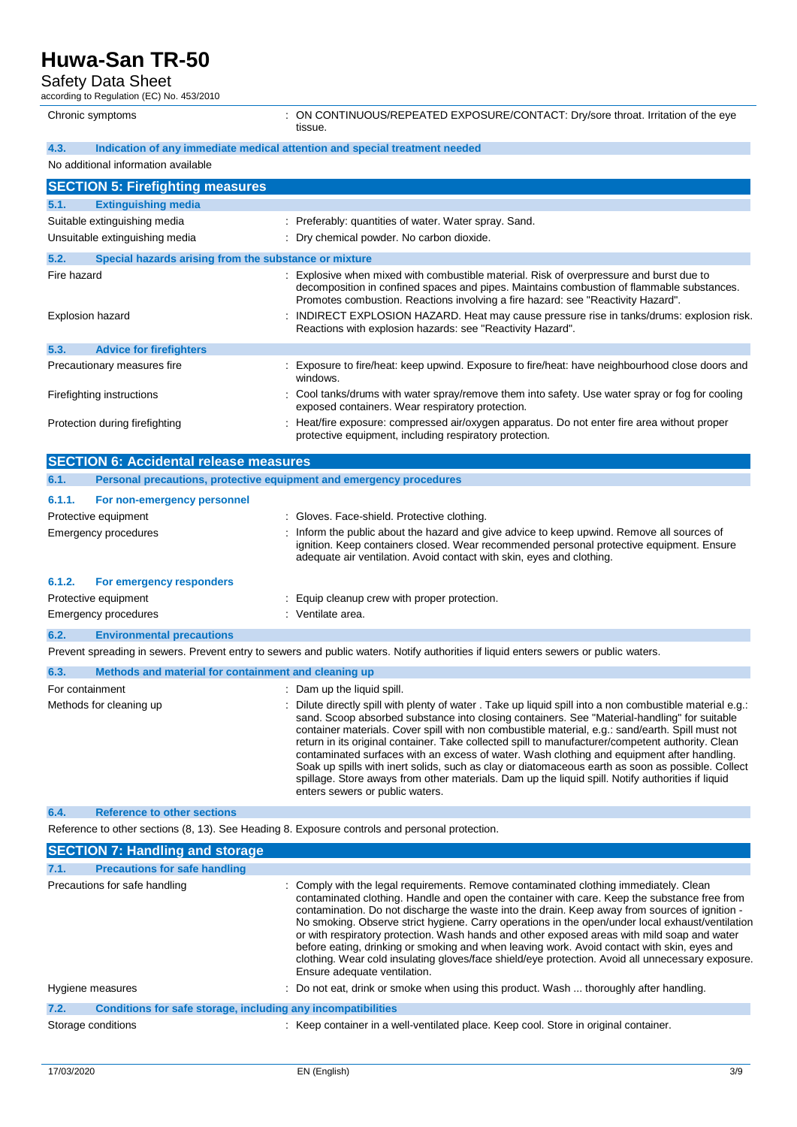Safety Data Sheet

| Safety Data Sheet<br>according to Regulation (EC) No. 453/2010 |                                                                                                                                                                                                                                                                          |  |  |
|----------------------------------------------------------------|--------------------------------------------------------------------------------------------------------------------------------------------------------------------------------------------------------------------------------------------------------------------------|--|--|
| Chronic symptoms                                               | : ON CONTINUOUS/REPEATED EXPOSURE/CONTACT: Dry/sore throat. Irritation of the eye<br>tissue.                                                                                                                                                                             |  |  |
| 4.3.                                                           | Indication of any immediate medical attention and special treatment needed                                                                                                                                                                                               |  |  |
| No additional information available                            |                                                                                                                                                                                                                                                                          |  |  |
| <b>SECTION 5: Firefighting measures</b>                        |                                                                                                                                                                                                                                                                          |  |  |
| 5.1.<br><b>Extinguishing media</b>                             |                                                                                                                                                                                                                                                                          |  |  |
| Suitable extinguishing media                                   | : Preferably: quantities of water. Water spray. Sand.                                                                                                                                                                                                                    |  |  |
| Unsuitable extinguishing media                                 | : Dry chemical powder. No carbon dioxide.                                                                                                                                                                                                                                |  |  |
| 5.2.<br>Special hazards arising from the substance or mixture  |                                                                                                                                                                                                                                                                          |  |  |
| Fire hazard                                                    | : Explosive when mixed with combustible material. Risk of overpressure and burst due to<br>decomposition in confined spaces and pipes. Maintains combustion of flammable substances.<br>Promotes combustion. Reactions involving a fire hazard: see "Reactivity Hazard". |  |  |
| <b>Explosion hazard</b>                                        | INDIRECT EXPLOSION HAZARD. Heat may cause pressure rise in tanks/drums: explosion risk.<br>Reactions with explosion hazards: see "Reactivity Hazard".                                                                                                                    |  |  |
| 5.3.<br><b>Advice for firefighters</b>                         |                                                                                                                                                                                                                                                                          |  |  |
| Precautionary measures fire                                    | Exposure to fire/heat: keep upwind. Exposure to fire/heat: have neighbourhood close doors and<br>windows.                                                                                                                                                                |  |  |
| Firefighting instructions                                      | Cool tanks/drums with water spray/remove them into safety. Use water spray or fog for cooling<br>exposed containers. Wear respiratory protection.                                                                                                                        |  |  |
| Protection during firefighting                                 | Heat/fire exposure: compressed air/oxygen apparatus. Do not enter fire area without proper<br>protective equipment, including respiratory protection.                                                                                                                    |  |  |
| <b>SECTION 6: Accidental release measures</b>                  |                                                                                                                                                                                                                                                                          |  |  |
| 6.1.                                                           | Personal precautions, protective equipment and emergency procedures                                                                                                                                                                                                      |  |  |
| 6.1.1.<br>For non-emergency personnel                          |                                                                                                                                                                                                                                                                          |  |  |
| Protective equipment                                           | : Gloves. Face-shield. Protective clothing.                                                                                                                                                                                                                              |  |  |
| <b>Emergency procedures</b>                                    | Inform the public about the hazard and give advice to keep upwind. Remove all sources of<br>ignition. Keep containers closed. Wear recommended personal protective equipment. Ensure<br>adequate air ventilation. Avoid contact with skin, eyes and clothing.            |  |  |
| 6.1.2.<br>For emergency responders                             |                                                                                                                                                                                                                                                                          |  |  |
| Protective equipment                                           | Equip cleanup crew with proper protection.                                                                                                                                                                                                                               |  |  |

Emergency procedures in the set of the set of the Sementian Semi-term in the Semi-term in the Semi-term in the S

## **6.2. Environmental precautions**

Prevent spreading in sewers. Prevent entry to sewers and public waters. Notify authorities if liquid enters sewers or public waters.

| 6.3.<br>Methods and material for containment and cleaning up |                                                                                                                                                                                                                                                                                                                                                                                                                                                                                                                                                                                                                                                                                                                                                              |
|--------------------------------------------------------------|--------------------------------------------------------------------------------------------------------------------------------------------------------------------------------------------------------------------------------------------------------------------------------------------------------------------------------------------------------------------------------------------------------------------------------------------------------------------------------------------------------------------------------------------------------------------------------------------------------------------------------------------------------------------------------------------------------------------------------------------------------------|
| For containment                                              | Dam up the liquid spill.                                                                                                                                                                                                                                                                                                                                                                                                                                                                                                                                                                                                                                                                                                                                     |
| Methods for cleaning up                                      | : Dilute directly spill with plenty of water. Take up liquid spill into a non combustible material e.g.:<br>sand. Scoop absorbed substance into closing containers. See "Material-handling" for suitable<br>container materials. Cover spill with non combustible material, e.g.: sand/earth. Spill must not<br>return in its original container. Take collected spill to manufacturer/competent authority. Clean<br>contaminated surfaces with an excess of water. Wash clothing and equipment after handling.<br>Soak up spills with inert solids, such as clay or diatomaceous earth as soon as possible. Collect<br>spillage. Store aways from other materials. Dam up the liquid spill. Notify authorities if liquid<br>enters sewers or public waters. |

### **6.4. Reference to other sections**

Reference to other sections (8, 13). See Heading 8. Exposure controls and personal protection.

|                    | <b>SECTION 7: Handling and storage</b>                       |                                                                                                                                                                                                                                                                                                                                                                                                                                                                                                                                                                                                                                                                                                                                |
|--------------------|--------------------------------------------------------------|--------------------------------------------------------------------------------------------------------------------------------------------------------------------------------------------------------------------------------------------------------------------------------------------------------------------------------------------------------------------------------------------------------------------------------------------------------------------------------------------------------------------------------------------------------------------------------------------------------------------------------------------------------------------------------------------------------------------------------|
| 7.1.               | <b>Precautions for safe handling</b>                         |                                                                                                                                                                                                                                                                                                                                                                                                                                                                                                                                                                                                                                                                                                                                |
|                    | Precautions for safe handling                                | : Comply with the legal requirements. Remove contaminated clothing immediately. Clean<br>contaminated clothing. Handle and open the container with care. Keep the substance free from<br>contamination. Do not discharge the waste into the drain. Keep away from sources of ignition -<br>No smoking. Observe strict hygiene. Carry operations in the open/under local exhaust/ventilation<br>or with respiratory protection. Wash hands and other exposed areas with mild soap and water<br>before eating, drinking or smoking and when leaving work. Avoid contact with skin, eyes and<br>clothing. Wear cold insulating gloves/face shield/eye protection. Avoid all unnecessary exposure.<br>Ensure adequate ventilation. |
| Hygiene measures   |                                                              | : Do not eat, drink or smoke when using this product. Wash  thoroughly after handling.                                                                                                                                                                                                                                                                                                                                                                                                                                                                                                                                                                                                                                         |
| 7.2.               | Conditions for safe storage, including any incompatibilities |                                                                                                                                                                                                                                                                                                                                                                                                                                                                                                                                                                                                                                                                                                                                |
| Storage conditions |                                                              | : Keep container in a well-ventilated place. Keep cool. Store in original container.                                                                                                                                                                                                                                                                                                                                                                                                                                                                                                                                                                                                                                           |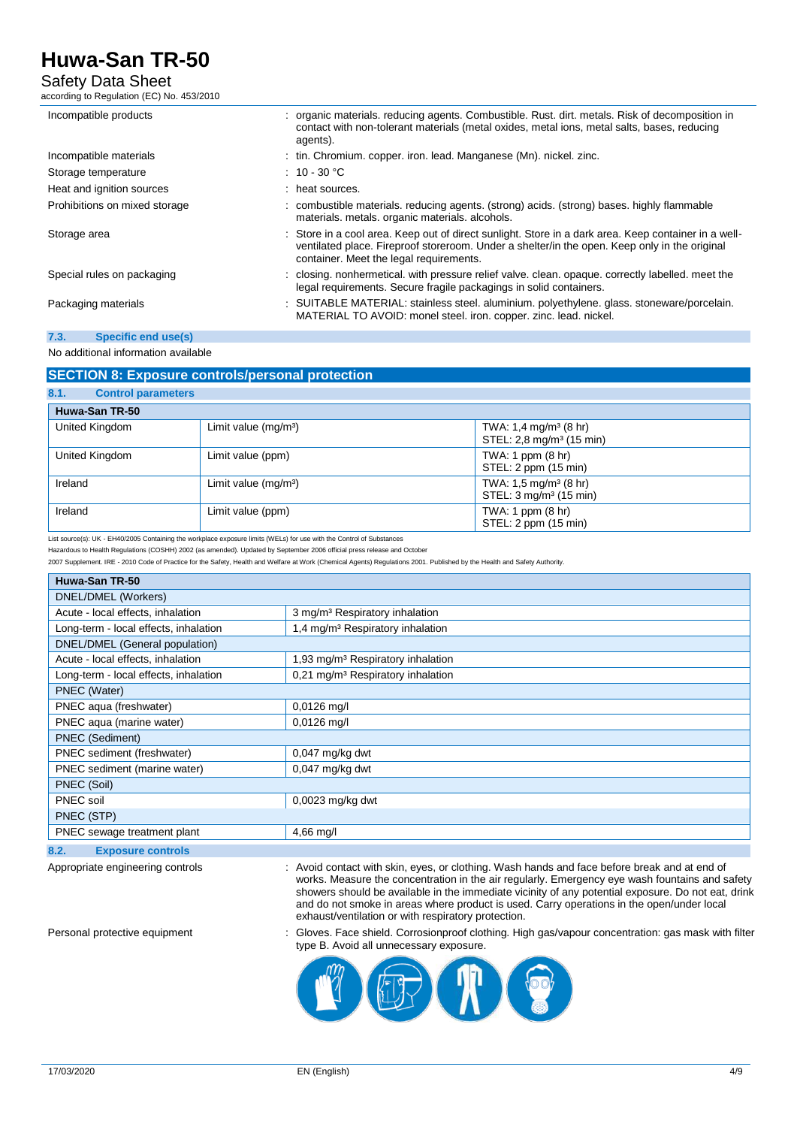# Safety Data Sheet

according to Regulation (EC) No. 453/2010

| Incompatible products         | : organic materials. reducing agents. Combustible. Rust. dirt. metals. Risk of decomposition in<br>contact with non-tolerant materials (metal oxides, metal ions, metal salts, bases, reducing<br>agents).                                       |
|-------------------------------|--------------------------------------------------------------------------------------------------------------------------------------------------------------------------------------------------------------------------------------------------|
| Incompatible materials        | : tin. Chromium. copper. iron. lead. Manganese (Mn). nickel. zinc.                                                                                                                                                                               |
| Storage temperature           | $\therefore$ 10 - 30 °C                                                                                                                                                                                                                          |
| Heat and ignition sources     | : heat sources.                                                                                                                                                                                                                                  |
| Prohibitions on mixed storage | : combustible materials. reducing agents. (strong) acids. (strong) bases. highly flammable<br>materials. metals. organic materials. alcohols.                                                                                                    |
| Storage area                  | : Store in a cool area. Keep out of direct sunlight. Store in a dark area. Keep container in a well-<br>ventilated place. Fireproof storeroom. Under a shelter/in the open. Keep only in the original<br>container. Meet the legal requirements. |
| Special rules on packaging    | : closing. nonhermetical. with pressure relief valve. clean. opaque. correctly labelled. meet the<br>legal requirements. Secure fragile packagings in solid containers.                                                                          |
| Packaging materials           | : SUITABLE MATERIAL: stainless steel. aluminium. polyethylene. glass. stoneware/porcelain.<br>MATERIAL TO AVOID: monel steel. iron. copper. zinc. lead. nickel.                                                                                  |

#### **7.3. Specific end use(s)**

#### No additional information available

### **SECTION 8: Exposure controls/personal protection**

| 8.1.<br><b>Control parameters</b> |                        |                                                                           |  |  |
|-----------------------------------|------------------------|---------------------------------------------------------------------------|--|--|
| Huwa-San TR-50                    |                        |                                                                           |  |  |
| United Kingdom                    | Limit value $(mq/m^3)$ | TWA: 1,4 mg/m <sup>3</sup> (8 hr)<br>STEL: 2,8 mg/m <sup>3</sup> (15 min) |  |  |
| United Kingdom                    | Limit value (ppm)      | TWA: 1 ppm $(8 \text{ hr})$<br>STEL: 2 ppm (15 min)                       |  |  |
| Ireland                           | Limit value $(mq/m3)$  | TWA: $1,5$ mg/m <sup>3</sup> (8 hr)<br>STEL: 3 mg/m <sup>3</sup> (15 min) |  |  |
| Ireland                           | Limit value (ppm)      | TWA: 1 ppm $(8 \text{ hr})$<br>STEL: 2 ppm (15 min)                       |  |  |

List source(s): UK - EH40/2005 Containing the workplace exposure limits (WELs) for use with the Control of Substances

Hazardous to Health Regulations (COSHH) 2002 (as amended). Updated by September 2006 official press release and October

2007 Supplement. IRE - 2010 Code of Practice for the Safety, Health and Welfare at Work (Chemical Agents) Regulations 2001. Published by the Health and Safety Authority.

| Huwa-San TR-50                             |                                               |  |  |
|--------------------------------------------|-----------------------------------------------|--|--|
| DNEL/DMEL (Workers)                        |                                               |  |  |
| Acute - local effects, inhalation          | 3 mg/m <sup>3</sup> Respiratory inhalation    |  |  |
| Long-term - local effects, inhalation      | 1,4 mg/m <sup>3</sup> Respiratory inhalation  |  |  |
| DNEL/DMEL (General population)             |                                               |  |  |
| Acute - local effects, inhalation          | 1,93 mg/m <sup>3</sup> Respiratory inhalation |  |  |
| Long-term - local effects, inhalation      | 0,21 mg/m <sup>3</sup> Respiratory inhalation |  |  |
| PNEC (Water)                               |                                               |  |  |
| PNEC aqua (freshwater)                     | $0,0126$ mg/l                                 |  |  |
| PNEC aqua (marine water)                   | $0.0126$ mg/l                                 |  |  |
| <b>PNEC</b> (Sediment)                     |                                               |  |  |
| PNEC sediment (freshwater)                 | 0,047 mg/kg dwt                               |  |  |
| PNEC sediment (marine water)               | $0,047$ mg/kg dwt                             |  |  |
| PNEC (Soil)                                |                                               |  |  |
| PNEC soil                                  | $0,0023$ mg/kg dwt                            |  |  |
| PNEC (STP)                                 |                                               |  |  |
| PNEC sewage treatment plant<br>$4,66$ mg/l |                                               |  |  |
| 8.2.<br><b>Exposure controls</b>           |                                               |  |  |

Appropriate engineering controls : Avoid contact with skin, eyes, or clothing. Wash hands and face before break and at end of works. Measure the concentration in the air regularly. Emergency eye wash fountains and safety showers should be available in the immediate vicinity of any potential exposure. Do not eat, drink and do not smoke in areas where product is used. Carry operations in the open/under local exhaust/ventilation or with respiratory protection.

Personal protective equipment : Gloves. Face shield. Corrosionproof clothing. High gas/vapour concentration: gas mask with filter type B. Avoid all unnecessary exposure.

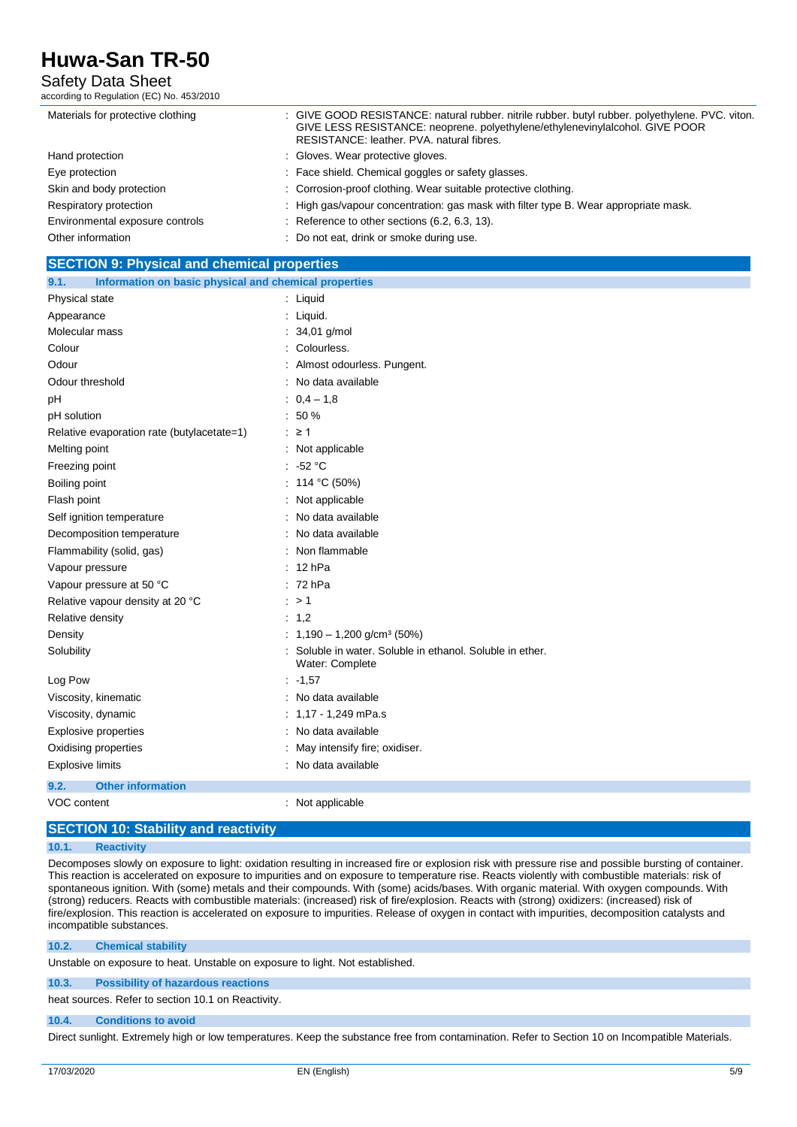# Safety Data Sheet

according to Regulation (EC) No. 453/2010

| Materials for protective clothing | : GIVE GOOD RESISTANCE: natural rubber. nitrile rubber. butyl rubber. polyethylene. PVC. viton.<br>GIVE LESS RESISTANCE: neoprene. polyethylene/ethylenevinylalcohol. GIVE POOR<br>RESISTANCE: leather, PVA, natural fibres. |
|-----------------------------------|------------------------------------------------------------------------------------------------------------------------------------------------------------------------------------------------------------------------------|
| Hand protection                   | : Gloves. Wear protective gloves.                                                                                                                                                                                            |
| Eye protection                    | : Face shield. Chemical goggles or safety glasses.                                                                                                                                                                           |
| Skin and body protection          | : Corrosion-proof clothing. Wear suitable protective clothing.                                                                                                                                                               |
| Respiratory protection            | : High gas/vapour concentration: gas mask with filter type B. Wear appropriate mask.                                                                                                                                         |
| Environmental exposure controls   | Reference to other sections (6.2, 6.3, 13).                                                                                                                                                                                  |
| Other information                 | : Do not eat, drink or smoke during use.                                                                                                                                                                                     |
|                                   |                                                                                                                                                                                                                              |

#### **SECTION 9: Physical and chemical properties**

| Information on basic physical and chemical properties<br>9.1. |                                                                            |
|---------------------------------------------------------------|----------------------------------------------------------------------------|
| Physical state                                                | : Liquid                                                                   |
| Appearance                                                    | : Liquid.                                                                  |
| Molecular mass                                                | : $34,01$ g/mol                                                            |
| Colour                                                        | Colourless.                                                                |
| Odour                                                         | Almost odourless. Pungent.                                                 |
| Odour threshold                                               | No data available                                                          |
| pH                                                            | $: 0.4 - 1.8$                                                              |
| pH solution                                                   | $: 50 \%$                                                                  |
| Relative evaporation rate (butylacetate=1)                    | $\therefore$ 21                                                            |
| Melting point                                                 | : Not applicable                                                           |
| Freezing point                                                | $: -52 °C$                                                                 |
| Boiling point                                                 | : 114 °C (50%)                                                             |
| Flash point                                                   | Not applicable                                                             |
| Self ignition temperature                                     | No data available                                                          |
| Decomposition temperature                                     | No data available                                                          |
| Flammability (solid, gas)                                     | Non flammable                                                              |
| Vapour pressure                                               | 12 <sub>hPa</sub>                                                          |
| Vapour pressure at 50 °C                                      | $: 72$ hPa                                                                 |
| Relative vapour density at 20 °C                              | $\therefore$ > 1                                                           |
| Relative density                                              | : $1,2$                                                                    |
| Density                                                       | : $1,190 - 1,200$ g/cm <sup>3</sup> (50%)                                  |
| Solubility                                                    | Soluble in water. Soluble in ethanol. Soluble in ether.<br>Water: Complete |
| Log Pow                                                       | $: -1,57$                                                                  |
| Viscosity, kinematic                                          | No data available                                                          |
| Viscosity, dynamic                                            | : $1,17 - 1,249$ mPa.s                                                     |
| <b>Explosive properties</b>                                   | : No data available                                                        |
| Oxidising properties                                          | May intensify fire; oxidiser.                                              |
| <b>Explosive limits</b>                                       | : No data available                                                        |
| 9.2.<br><b>Other information</b>                              |                                                                            |
| <b>VOC</b> content                                            | : Not applicable                                                           |

#### **SECTION 10: Stability and reactivity**

#### **10.1. Reactivity**

Decomposes slowly on exposure to light: oxidation resulting in increased fire or explosion risk with pressure rise and possible bursting of container. This reaction is accelerated on exposure to impurities and on exposure to temperature rise. Reacts violently with combustible materials: risk of spontaneous ignition. With (some) metals and their compounds. With (some) acids/bases. With organic material. With oxygen compounds. With (strong) reducers. Reacts with combustible materials: (increased) risk of fire/explosion. Reacts with (strong) oxidizers: (increased) risk of fire/explosion. This reaction is accelerated on exposure to impurities. Release of oxygen in contact with impurities, decomposition catalysts and incompatible substances.

#### **10.2. Chemical stability**

Unstable on exposure to heat. Unstable on exposure to light. Not established.

**10.3. Possibility of hazardous reactions** heat sources. Refer to section 10.1 on Reactivity.

### **10.4. Conditions to avoid**

Direct sunlight. Extremely high or low temperatures. Keep the substance free from contamination. Refer to Section 10 on Incompatible Materials.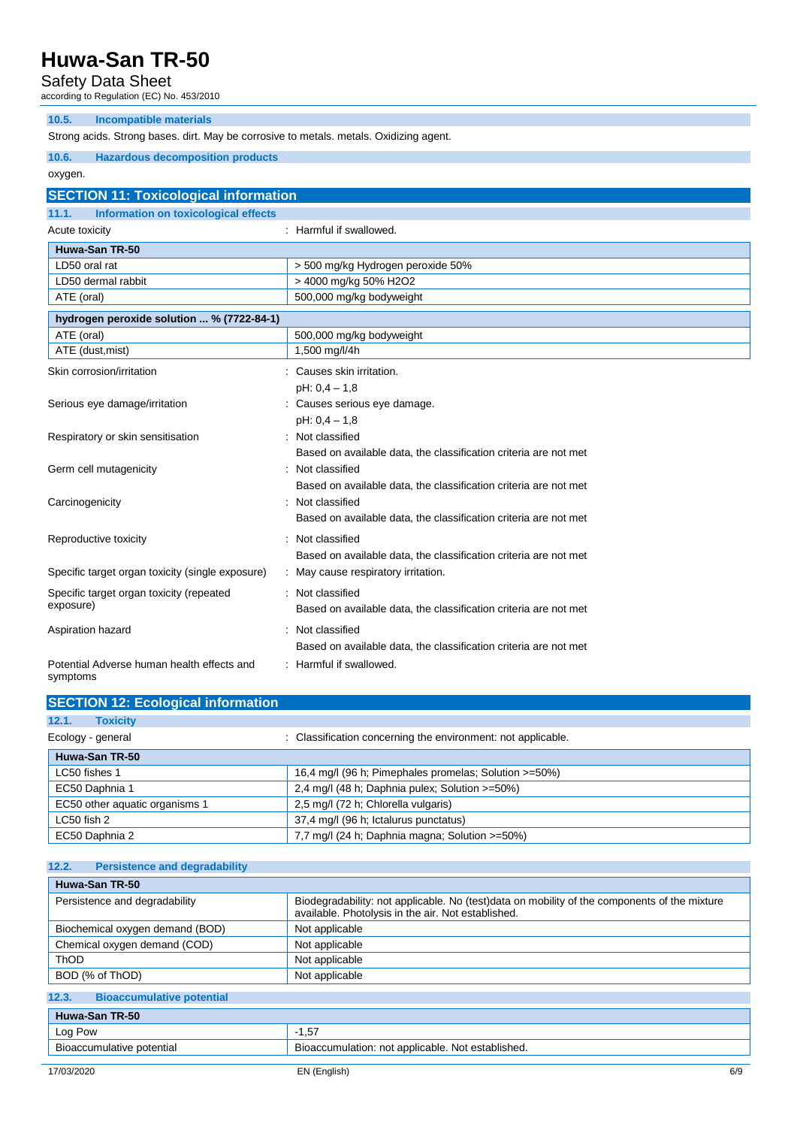Safety Data Sheet

according to Regulation (EC) No. 453/2010

| 10.5.<br><b>Incompatible materials</b>                                                 |                                                                  |  |  |
|----------------------------------------------------------------------------------------|------------------------------------------------------------------|--|--|
| Strong acids. Strong bases. dirt. May be corrosive to metals. metals. Oxidizing agent. |                                                                  |  |  |
| 10.6.<br><b>Hazardous decomposition products</b>                                       |                                                                  |  |  |
| oxygen.                                                                                |                                                                  |  |  |
| <b>SECTION 11: Toxicological information</b>                                           |                                                                  |  |  |
| Information on toxicological effects<br>11.1.                                          |                                                                  |  |  |
| Acute toxicity                                                                         | : Harmful if swallowed.                                          |  |  |
| Huwa-San TR-50                                                                         |                                                                  |  |  |
| LD50 oral rat                                                                          | > 500 mg/kg Hydrogen peroxide 50%                                |  |  |
| LD50 dermal rabbit                                                                     | > 4000 mg/kg 50% H2O2                                            |  |  |
| ATE (oral)                                                                             | 500,000 mg/kg bodyweight                                         |  |  |
| hydrogen peroxide solution  % (7722-84-1)                                              |                                                                  |  |  |
| ATE (oral)                                                                             | 500,000 mg/kg bodyweight                                         |  |  |
| ATE (dust, mist)                                                                       | 1,500 mg/l/4h                                                    |  |  |
| Skin corrosion/irritation                                                              | Causes skin irritation.                                          |  |  |
|                                                                                        | $pH: 0, 4 - 1, 8$                                                |  |  |
| Serious eye damage/irritation                                                          | Causes serious eye damage.                                       |  |  |
|                                                                                        | $pH: 0, 4 - 1, 8$                                                |  |  |
| Respiratory or skin sensitisation                                                      | : Not classified                                                 |  |  |
|                                                                                        | Based on available data, the classification criteria are not met |  |  |
| Germ cell mutagenicity                                                                 | Not classified                                                   |  |  |
|                                                                                        | Based on available data, the classification criteria are not met |  |  |
| Carcinogenicity                                                                        | Not classified                                                   |  |  |
|                                                                                        | Based on available data, the classification criteria are not met |  |  |
| Reproductive toxicity                                                                  | Not classified                                                   |  |  |
|                                                                                        | Based on available data, the classification criteria are not met |  |  |
| Specific target organ toxicity (single exposure)                                       | May cause respiratory irritation.                                |  |  |
| Specific target organ toxicity (repeated                                               | : Not classified                                                 |  |  |
| exposure)                                                                              | Based on available data, the classification criteria are not met |  |  |
| Aspiration hazard                                                                      | Not classified                                                   |  |  |
|                                                                                        | Based on available data, the classification criteria are not met |  |  |
| Potential Adverse human health effects and<br>symptoms                                 | : Harmful if swallowed.                                          |  |  |

| <b>SECTION 12: Ecological information</b>                                         |                                                       |  |  |
|-----------------------------------------------------------------------------------|-------------------------------------------------------|--|--|
| 12.1.<br><b>Toxicity</b>                                                          |                                                       |  |  |
| : Classification concerning the environment: not applicable.<br>Ecology - general |                                                       |  |  |
| Huwa-San TR-50                                                                    |                                                       |  |  |
| LC50 fishes 1                                                                     | 16,4 mg/l (96 h; Pimephales promelas; Solution >=50%) |  |  |
| EC50 Daphnia 1                                                                    | 2,4 mg/l (48 h; Daphnia pulex; Solution >=50%)        |  |  |
| EC50 other aquatic organisms 1                                                    | 2,5 mg/l (72 h; Chlorella vulgaris)                   |  |  |
| LC50 fish 2                                                                       | 37,4 mg/l (96 h; Ictalurus punctatus)                 |  |  |
| EC50 Daphnia 2                                                                    | 7,7 mg/l (24 h; Daphnia magna; Solution >=50%)        |  |  |

| 12.2.<br><b>Persistence and degradability</b>                                  |                                                                                                                                                    |  |
|--------------------------------------------------------------------------------|----------------------------------------------------------------------------------------------------------------------------------------------------|--|
| Huwa-San TR-50                                                                 |                                                                                                                                                    |  |
| Persistence and degradability                                                  | Biodegradability: not applicable. No (test)data on mobility of the components of the mixture<br>available. Photolysis in the air. Not established. |  |
| Biochemical oxygen demand (BOD)                                                | Not applicable                                                                                                                                     |  |
| Chemical oxygen demand (COD)                                                   | Not applicable                                                                                                                                     |  |
| <b>ThOD</b>                                                                    | Not applicable                                                                                                                                     |  |
| BOD (% of ThOD)                                                                | Not applicable                                                                                                                                     |  |
| 12.3.<br><b>Bioaccumulative potential</b>                                      |                                                                                                                                                    |  |
| Huwa-San TR-50                                                                 |                                                                                                                                                    |  |
| Log Pow                                                                        | $-1,57$                                                                                                                                            |  |
| Bioaccumulation: not applicable. Not established.<br>Bioaccumulative potential |                                                                                                                                                    |  |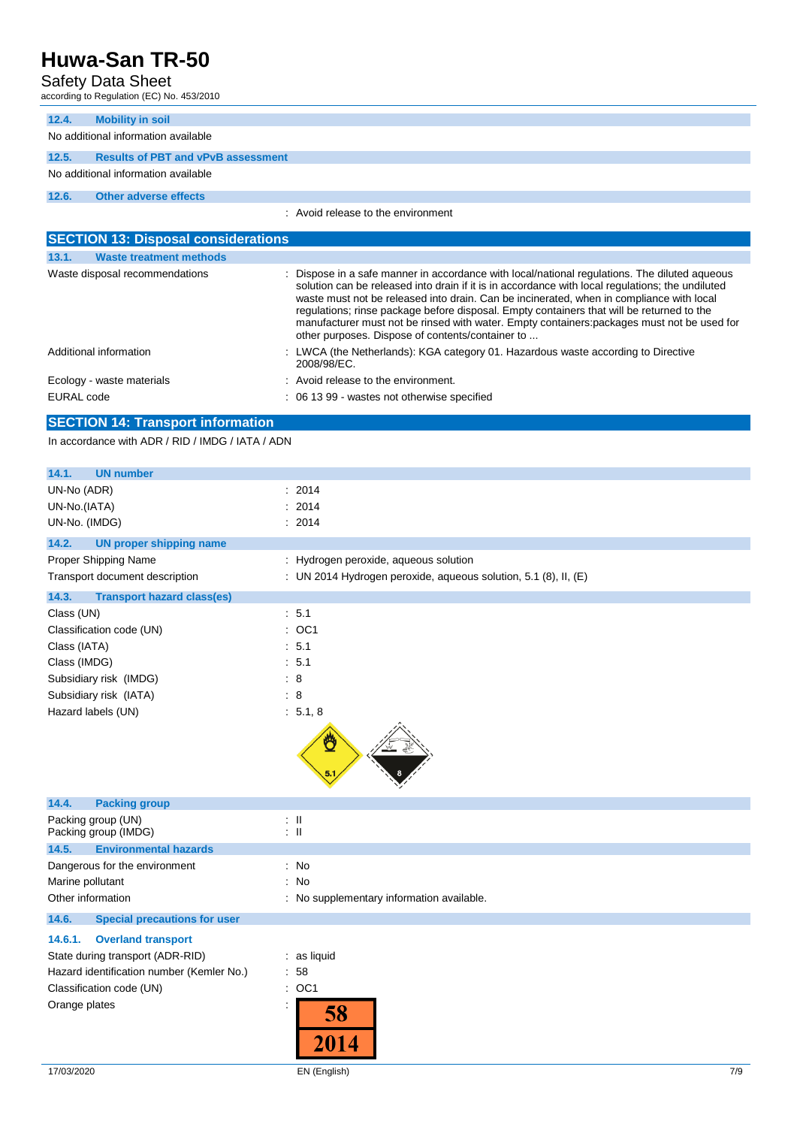Safety Data Sheet

| according to Regulation (EC) No. 453/2010 |                                           |                                    |
|-------------------------------------------|-------------------------------------------|------------------------------------|
| 12.4.                                     | <b>Mobility in soil</b>                   |                                    |
| No additional information available       |                                           |                                    |
| 12.5.                                     | <b>Results of PBT and vPvB assessment</b> |                                    |
| No additional information available       |                                           |                                    |
| 12.6.                                     | <b>Other adverse effects</b>              |                                    |
|                                           |                                           | : Avoid release to the environment |

| <b>SECTION 13: Disposal considerations</b> |                                                                                                                                                                                                                                                                                                                                                                                                                                                                                                                                               |  |  |
|--------------------------------------------|-----------------------------------------------------------------------------------------------------------------------------------------------------------------------------------------------------------------------------------------------------------------------------------------------------------------------------------------------------------------------------------------------------------------------------------------------------------------------------------------------------------------------------------------------|--|--|
| <b>Waste treatment methods</b><br>13.1.    |                                                                                                                                                                                                                                                                                                                                                                                                                                                                                                                                               |  |  |
| Waste disposal recommendations             | : Dispose in a safe manner in accordance with local/national regulations. The diluted aqueous<br>solution can be released into drain if it is in accordance with local regulations; the undiluted<br>waste must not be released into drain. Can be incinerated, when in compliance with local<br>requiations; rinse package before disposal. Empty containers that will be returned to the<br>manufacturer must not be rinsed with water. Empty containers: packages must not be used for<br>other purposes. Dispose of contents/container to |  |  |
| Additional information                     | : LWCA (the Netherlands): KGA category 01. Hazardous waste according to Directive<br>2008/98/EC.                                                                                                                                                                                                                                                                                                                                                                                                                                              |  |  |
| Ecology - waste materials                  | : Avoid release to the environment.                                                                                                                                                                                                                                                                                                                                                                                                                                                                                                           |  |  |
| EURAL code                                 | : 06 13 99 - wastes not otherwise specified                                                                                                                                                                                                                                                                                                                                                                                                                                                                                                   |  |  |

# **SECTION 14: Transport information**

In accordance with ADR / RID / IMDG / IATA / ADN

| 14.1.<br><b>UN number</b>                    |                                                                 |
|----------------------------------------------|-----------------------------------------------------------------|
| UN-No (ADR)                                  | 2014<br>÷                                                       |
| UN-No.(IATA)                                 | 2014<br>÷                                                       |
| UN-No. (IMDG)                                | : 2014                                                          |
| 14.2.<br><b>UN proper shipping name</b>      |                                                                 |
| Proper Shipping Name                         | Hydrogen peroxide, aqueous solution<br>÷.                       |
| Transport document description               | : UN 2014 Hydrogen peroxide, aqueous solution, 5.1 (8), II, (E) |
| 14.3.<br><b>Transport hazard class(es)</b>   |                                                                 |
| Class (UN)                                   | : 5.1                                                           |
| Classification code (UN)                     | OC <sub>1</sub><br>÷                                            |
| Class (IATA)                                 | : 5.1                                                           |
| Class (IMDG)                                 | : 5.1                                                           |
| Subsidiary risk (IMDG)                       | $\therefore$ 8                                                  |
| Subsidiary risk (IATA)                       | $\therefore$ 8                                                  |
| Hazard labels (UN)                           | : 5.1, 8                                                        |
|                                              |                                                                 |
| <b>Packing group</b><br>14.4.                |                                                                 |
| Packing group (UN)<br>Packing group (IMDG)   | $\pm$ 11<br>$\therefore$ 11                                     |
| 14.5.<br><b>Environmental hazards</b>        |                                                                 |
| Dangerous for the environment                | $\therefore$ No                                                 |
| Marine pollutant                             | No<br>÷                                                         |
| Other information                            | No supplementary information available.<br>÷                    |
| 14.6.<br><b>Special precautions for user</b> |                                                                 |
| <b>Overland transport</b><br>14.6.1.         |                                                                 |
| State during transport (ADR-RID)             | : as liquid                                                     |
| Hazard identification number (Kemler No.)    | .58                                                             |
| Classification code (UN)                     | OC1<br>÷                                                        |
| Orange plates                                | 58<br>01                                                        |

17/03/2020 EN (English) 7/9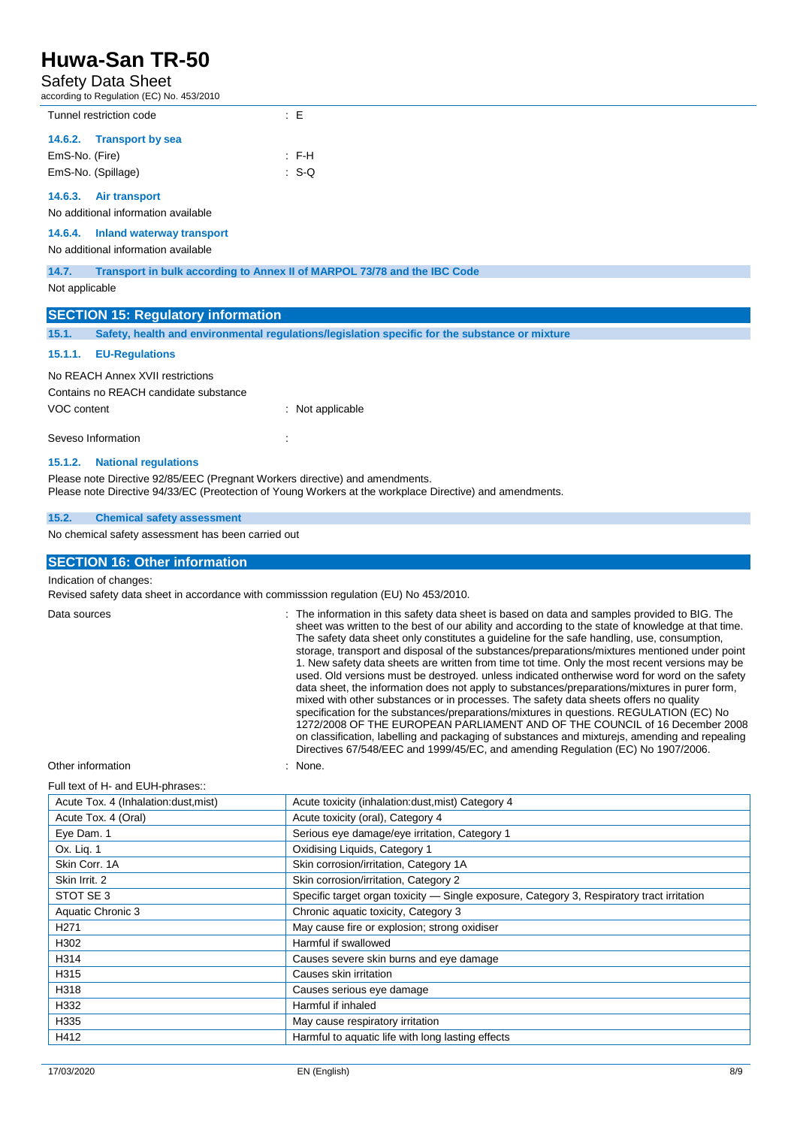# Safety Data Sheet

according to Regulation (EC) No. 453/2010

| $\frac{1}{2}$ and $\frac{1}{2}$ is a region of $\frac{1}{2}$ in the results of $\frac{1}{2}$ |             |  |  |
|----------------------------------------------------------------------------------------------|-------------|--|--|
| Tunnel restriction code                                                                      | ÷Е          |  |  |
| 14.6.2. Transport by sea                                                                     |             |  |  |
| EmS-No. (Fire)                                                                               | $E = F - H$ |  |  |
| EmS-No. (Spillage)                                                                           | $SS-Q$      |  |  |
| $\overline{AB}$<br>Alu tunnonnal                                                             |             |  |  |

# **14.6.3. Air transport**

No additional information available

**14.6.4. Inland waterway transport**

## No additional information available

**14.7. Transport in bulk according to Annex II of MARPOL 73/78 and the IBC Code**

Not applicable

|                                                                                                                                                                                          | <b>SECTION 15: Regulatory information</b>                                                      |                |  |
|------------------------------------------------------------------------------------------------------------------------------------------------------------------------------------------|------------------------------------------------------------------------------------------------|----------------|--|
| 15.1.                                                                                                                                                                                    | Safety, health and environmental regulations/legislation specific for the substance or mixture |                |  |
| 15.1.1.                                                                                                                                                                                  | <b>EU-Regulations</b>                                                                          |                |  |
|                                                                                                                                                                                          | No REACH Annex XVII restrictions                                                               |                |  |
|                                                                                                                                                                                          | Contains no REACH candidate substance                                                          |                |  |
| VOC content                                                                                                                                                                              |                                                                                                | Not applicable |  |
|                                                                                                                                                                                          | Seveso Information                                                                             |                |  |
| 15.1.2.                                                                                                                                                                                  | <b>National regulations</b>                                                                    |                |  |
| Please note Directive 92/85/EEC (Pregnant Workers directive) and amendments.<br>Please note Directive 94/33/EC (Preotection of Young Workers at the workplace Directive) and amendments. |                                                                                                |                |  |

#### **15.2. Chemical safety assessment**

No chemical safety assessment has been carried out

#### **SECTION 16: Other information**

Indication of changes:

Revised safety data sheet in accordance with commisssion regulation (EU) No 453/2010.

Data sources **integral of the information** in this safety data sheet is based on data and samples provided to BIG. The sheet was written to the best of our ability and according to the state of knowledge at that time. The safety data sheet only constitutes a guideline for the safe handling, use, consumption, storage, transport and disposal of the substances/preparations/mixtures mentioned under point 1. New safety data sheets are written from time tot time. Only the most recent versions may be used. Old versions must be destroyed. unless indicated ontherwise word for word on the safety data sheet, the information does not apply to substances/preparations/mixtures in purer form, mixed with other substances or in processes. The safety data sheets offers no quality specification for the substances/preparations/mixtures in questions. REGULATION (EC) No 1272/2008 OF THE EUROPEAN PARLIAMENT AND OF THE COUNCIL of 16 December 2008 on classification, labelling and packaging of substances and mixturejs, amending and repealing Directives 67/548/EEC and 1999/45/EC, and amending Regulation (EC) No 1907/2006.

Other information in the set of the set of the set of the set of the set of the set of the set of the set of the set of the set of the set of the set of the set of the set of the set of the set of the set of the set of the

#### Full text of H- and EUH-phrases::

| Acute Tox. 4 (Inhalation:dust, mist) | Acute toxicity (inhalation:dust, mist) Category 4                                          |
|--------------------------------------|--------------------------------------------------------------------------------------------|
| Acute Tox. 4 (Oral)                  | Acute toxicity (oral), Category 4                                                          |
| Eye Dam. 1                           | Serious eye damage/eye irritation, Category 1                                              |
| Ox. Lig. 1                           | Oxidising Liquids, Category 1                                                              |
| Skin Corr. 1A                        | Skin corrosion/irritation, Category 1A                                                     |
| Skin Irrit, 2                        | Skin corrosion/irritation, Category 2                                                      |
| STOT SE 3                            | Specific target organ toxicity — Single exposure, Category 3, Respiratory tract irritation |
| Aquatic Chronic 3                    | Chronic aquatic toxicity, Category 3                                                       |
| H <sub>271</sub>                     | May cause fire or explosion; strong oxidiser                                               |
| H302                                 | Harmful if swallowed                                                                       |
| H314                                 | Causes severe skin burns and eye damage                                                    |
| H315                                 | Causes skin irritation                                                                     |
| H318                                 | Causes serious eye damage                                                                  |
| H332                                 | Harmful if inhaled                                                                         |
| H335                                 | May cause respiratory irritation                                                           |
| H412                                 | Harmful to aquatic life with long lasting effects                                          |
|                                      |                                                                                            |